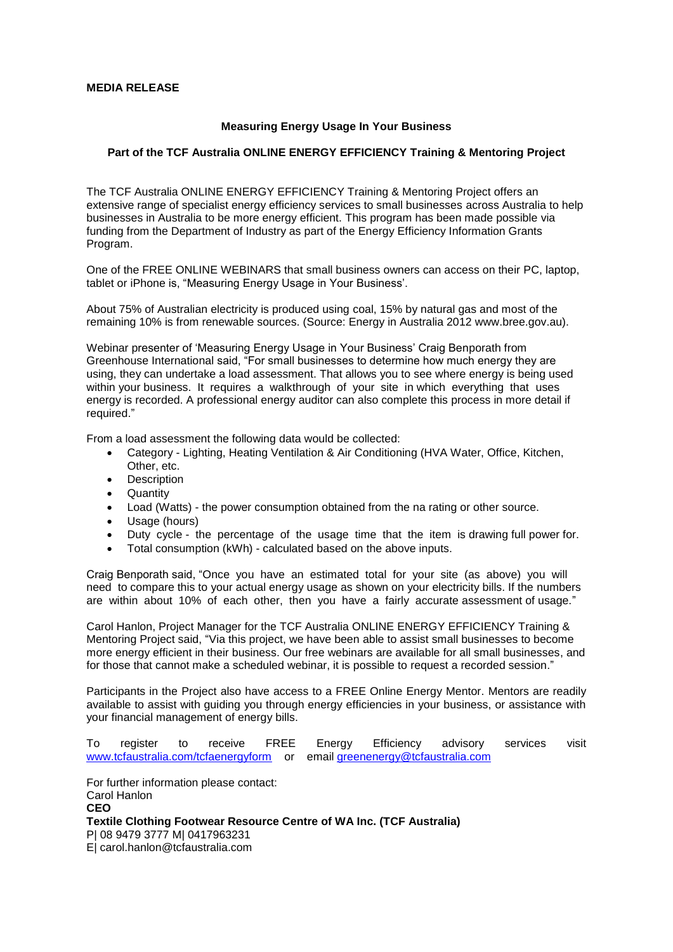## **MEDIA RELEASE**

## **Measuring Energy Usage In Your Business**

## **Part of the TCF Australia ONLINE ENERGY EFFICIENCY Training & Mentoring Project**

The TCF Australia ONLINE ENERGY EFFICIENCY Training & Mentoring Project offers an extensive range of specialist energy efficiency services to small businesses across Australia to help businesses in Australia to be more energy efficient. This program has been made possible via funding from the Department of Industry as part of the Energy Efficiency Information Grants Program.

One of the FREE ONLINE WEBINARS that small business owners can access on their PC, laptop, tablet or iPhone is, "Measuring Energy Usage in Your Business'.

About 75% of Australian electricity is produced using coal, 15% by natural gas and most of the remaining 10% is from renewable sources. (Source: Energy in Australia 2012 www.bree.gov.au).

Webinar presenter of 'Measuring Energy Usage in Your Business' Craig Benporath from Greenhouse International said, "For small businesses to determine how much energy they are using, they can undertake a load assessment. That allows you to see where energy is being used within your business. It requires a walkthrough of your site in which everything that uses energy is recorded. A professional energy auditor can also complete this process in more detail if required."

From a load assessment the following data would be collected:

- Category Lighting, Heating Ventilation & Air Conditioning (HVA Water, Office, Kitchen, Other, etc.
- Description
- **Quantity**
- Load (Watts) the power consumption obtained from the na rating or other source.
- Usage (hours)
- Duty cycle the percentage of the usage time that the item is drawing full power for.
- Total consumption (kWh) calculated based on the above inputs.

Craig Benporath said, "Once you have an estimated total for your site (as above) you will need to compare this to your actual energy usage as shown on your electricity bills. If the numbers are within about 10% of each other, then you have a fairly accurate assessment of usage."

Carol Hanlon, Project Manager for the TCF Australia ONLINE ENERGY EFFICIENCY Training & Mentoring Project said, "Via this project, we have been able to assist small businesses to become more energy efficient in their business. Our free webinars are available for all small businesses, and for those that cannot make a scheduled webinar, it is possible to request a recorded session."

Participants in the Project also have access to a FREE Online Energy Mentor. Mentors are readily available to assist with guiding you through energy efficiencies in your business, or assistance with your financial management of energy bills.

To register to receive FREE Energy Efficiency advisory services visit [www.tcfaustralia.com/tcfaenergyform](http://www.tcfaustralia.com/tcfaenergyform) or email [greenenergy@tcfaustralia.com](mailto:greenfashion@tcfaustralia.com)

For further information please contact: Carol Hanlon **CEO Textile Clothing Footwear Resource Centre of WA Inc. (TCF Australia)** P| 08 9479 3777 M| 0417963231 E| carol.hanlon@tcfaustralia.com